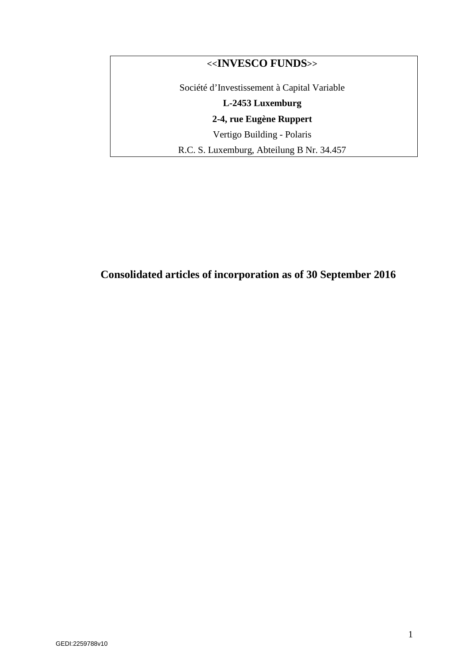# **<<INVESCO FUNDS>>**

Société d'Investissement à Capital Variable

# **L-2453 Luxemburg**

**2-4, rue Eugène Ruppert** 

Vertigo Building - Polaris

R.C. S. Luxemburg, Abteilung B Nr. 34.457

# **Consolidated articles of incorporation as of 30 September 2016**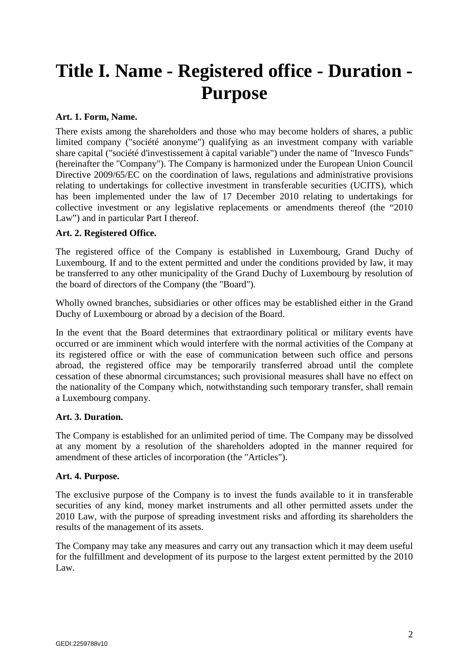# **Title I. Name - Registered office - Duration - Purpose**

#### **Art. 1. Form, Name.**

There exists among the shareholders and those who may become holders of shares, a public limited company ("société anonyme") qualifying as an investment company with variable share capital ("société d'investissement à capital variable") under the name of "Invesco Funds" (hereinafter the "Company"). The Company is harmonized under the European Union Council Directive 2009/65/EC on the coordination of laws, regulations and administrative provisions relating to undertakings for collective investment in transferable securities (UCITS), which has been implemented under the law of 17 December 2010 relating to undertakings for collective investment or any legislative replacements or amendments thereof (the "2010 Law") and in particular Part I thereof.

#### **Art. 2. Registered Office.**

The registered office of the Company is established in Luxembourg, Grand Duchy of Luxembourg. If and to the extent permitted and under the conditions provided by law, it may be transferred to any other municipality of the Grand Duchy of Luxembourg by resolution of the board of directors of the Company (the "Board").

Wholly owned branches, subsidiaries or other offices may be established either in the Grand Duchy of Luxembourg or abroad by a decision of the Board.

In the event that the Board determines that extraordinary political or military events have occurred or are imminent which would interfere with the normal activities of the Company at its registered office or with the ease of communication between such office and persons abroad, the registered office may be temporarily transferred abroad until the complete cessation of these abnormal circumstances; such provisional measures shall have no effect on the nationality of the Company which, notwithstanding such temporary transfer, shall remain a Luxembourg company.

#### **Art. 3. Duration.**

The Company is established for an unlimited period of time. The Company may be dissolved at any moment by a resolution of the shareholders adopted in the manner required for amendment of these articles of incorporation (the "Articles").

#### **Art. 4. Purpose.**

The exclusive purpose of the Company is to invest the funds available to it in transferable securities of any kind, money market instruments and all other permitted assets under the 2010 Law, with the purpose of spreading investment risks and affording its shareholders the results of the management of its assets.

The Company may take any measures and carry out any transaction which it may deem useful for the fulfillment and development of its purpose to the largest extent permitted by the 2010 Law.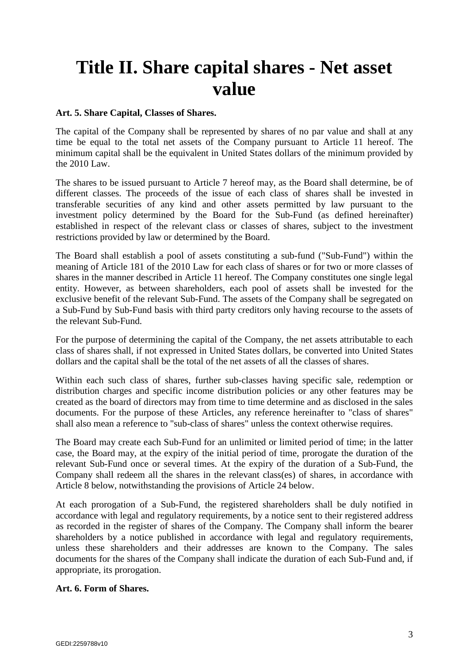# **Title II. Share capital shares - Net asset value**

#### **Art. 5. Share Capital, Classes of Shares.**

The capital of the Company shall be represented by shares of no par value and shall at any time be equal to the total net assets of the Company pursuant to Article 11 hereof. The minimum capital shall be the equivalent in United States dollars of the minimum provided by the 2010 Law.

The shares to be issued pursuant to Article 7 hereof may, as the Board shall determine, be of different classes. The proceeds of the issue of each class of shares shall be invested in transferable securities of any kind and other assets permitted by law pursuant to the investment policy determined by the Board for the Sub-Fund (as defined hereinafter) established in respect of the relevant class or classes of shares, subject to the investment restrictions provided by law or determined by the Board.

The Board shall establish a pool of assets constituting a sub-fund ("Sub-Fund") within the meaning of Article 181 of the 2010 Law for each class of shares or for two or more classes of shares in the manner described in Article 11 hereof. The Company constitutes one single legal entity. However, as between shareholders, each pool of assets shall be invested for the exclusive benefit of the relevant Sub-Fund. The assets of the Company shall be segregated on a Sub-Fund by Sub-Fund basis with third party creditors only having recourse to the assets of the relevant Sub-Fund.

For the purpose of determining the capital of the Company, the net assets attributable to each class of shares shall, if not expressed in United States dollars, be converted into United States dollars and the capital shall be the total of the net assets of all the classes of shares.

Within each such class of shares, further sub-classes having specific sale, redemption or distribution charges and specific income distribution policies or any other features may be created as the board of directors may from time to time determine and as disclosed in the sales documents. For the purpose of these Articles, any reference hereinafter to "class of shares" shall also mean a reference to "sub-class of shares" unless the context otherwise requires.

The Board may create each Sub-Fund for an unlimited or limited period of time; in the latter case, the Board may, at the expiry of the initial period of time, prorogate the duration of the relevant Sub-Fund once or several times. At the expiry of the duration of a Sub-Fund, the Company shall redeem all the shares in the relevant class(es) of shares, in accordance with Article 8 below, notwithstanding the provisions of Article 24 below.

At each prorogation of a Sub-Fund, the registered shareholders shall be duly notified in accordance with legal and regulatory requirements, by a notice sent to their registered address as recorded in the register of shares of the Company. The Company shall inform the bearer shareholders by a notice published in accordance with legal and regulatory requirements, unless these shareholders and their addresses are known to the Company. The sales documents for the shares of the Company shall indicate the duration of each Sub-Fund and, if appropriate, its prorogation.

#### **Art. 6. Form of Shares.**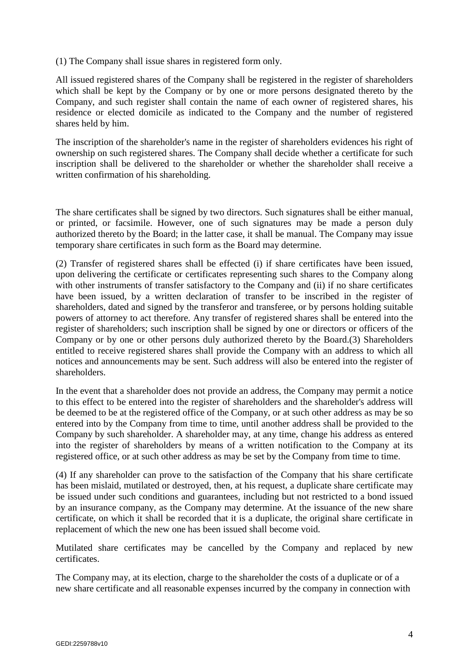(1) The Company shall issue shares in registered form only.

All issued registered shares of the Company shall be registered in the register of shareholders which shall be kept by the Company or by one or more persons designated thereto by the Company, and such register shall contain the name of each owner of registered shares, his residence or elected domicile as indicated to the Company and the number of registered shares held by him.

The inscription of the shareholder's name in the register of shareholders evidences his right of ownership on such registered shares. The Company shall decide whether a certificate for such inscription shall be delivered to the shareholder or whether the shareholder shall receive a written confirmation of his shareholding.

The share certificates shall be signed by two directors. Such signatures shall be either manual, or printed, or facsimile. However, one of such signatures may be made a person duly authorized thereto by the Board; in the latter case, it shall be manual. The Company may issue temporary share certificates in such form as the Board may determine.

(2) Transfer of registered shares shall be effected (i) if share certificates have been issued, upon delivering the certificate or certificates representing such shares to the Company along with other instruments of transfer satisfactory to the Company and (ii) if no share certificates have been issued, by a written declaration of transfer to be inscribed in the register of shareholders, dated and signed by the transferor and transferee, or by persons holding suitable powers of attorney to act therefore. Any transfer of registered shares shall be entered into the register of shareholders; such inscription shall be signed by one or directors or officers of the Company or by one or other persons duly authorized thereto by the Board.(3) Shareholders entitled to receive registered shares shall provide the Company with an address to which all notices and announcements may be sent. Such address will also be entered into the register of shareholders.

In the event that a shareholder does not provide an address, the Company may permit a notice to this effect to be entered into the register of shareholders and the shareholder's address will be deemed to be at the registered office of the Company, or at such other address as may be so entered into by the Company from time to time, until another address shall be provided to the Company by such shareholder. A shareholder may, at any time, change his address as entered into the register of shareholders by means of a written notification to the Company at its registered office, or at such other address as may be set by the Company from time to time.

(4) If any shareholder can prove to the satisfaction of the Company that his share certificate has been mislaid, mutilated or destroyed, then, at his request, a duplicate share certificate may be issued under such conditions and guarantees, including but not restricted to a bond issued by an insurance company, as the Company may determine. At the issuance of the new share certificate, on which it shall be recorded that it is a duplicate, the original share certificate in replacement of which the new one has been issued shall become void.

Mutilated share certificates may be cancelled by the Company and replaced by new certificates.

The Company may, at its election, charge to the shareholder the costs of a duplicate or of a new share certificate and all reasonable expenses incurred by the company in connection with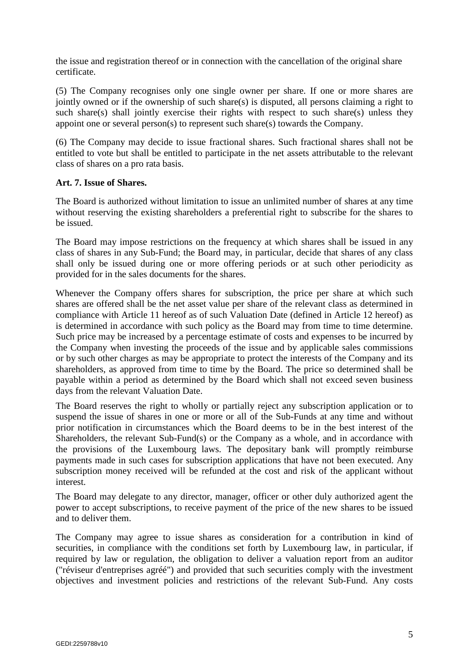the issue and registration thereof or in connection with the cancellation of the original share certificate.

(5) The Company recognises only one single owner per share. If one or more shares are jointly owned or if the ownership of such share(s) is disputed, all persons claiming a right to such share(s) shall jointly exercise their rights with respect to such share(s) unless they appoint one or several person(s) to represent such share(s) towards the Company.

(6) The Company may decide to issue fractional shares. Such fractional shares shall not be entitled to vote but shall be entitled to participate in the net assets attributable to the relevant class of shares on a pro rata basis.

#### **Art. 7. Issue of Shares.**

The Board is authorized without limitation to issue an unlimited number of shares at any time without reserving the existing shareholders a preferential right to subscribe for the shares to be issued.

The Board may impose restrictions on the frequency at which shares shall be issued in any class of shares in any Sub-Fund; the Board may, in particular, decide that shares of any class shall only be issued during one or more offering periods or at such other periodicity as provided for in the sales documents for the shares.

Whenever the Company offers shares for subscription, the price per share at which such shares are offered shall be the net asset value per share of the relevant class as determined in compliance with Article 11 hereof as of such Valuation Date (defined in Article 12 hereof) as is determined in accordance with such policy as the Board may from time to time determine. Such price may be increased by a percentage estimate of costs and expenses to be incurred by the Company when investing the proceeds of the issue and by applicable sales commissions or by such other charges as may be appropriate to protect the interests of the Company and its shareholders, as approved from time to time by the Board. The price so determined shall be payable within a period as determined by the Board which shall not exceed seven business days from the relevant Valuation Date.

The Board reserves the right to wholly or partially reject any subscription application or to suspend the issue of shares in one or more or all of the Sub-Funds at any time and without prior notification in circumstances which the Board deems to be in the best interest of the Shareholders, the relevant Sub-Fund(s) or the Company as a whole, and in accordance with the provisions of the Luxembourg laws. The depositary bank will promptly reimburse payments made in such cases for subscription applications that have not been executed. Any subscription money received will be refunded at the cost and risk of the applicant without interest.

The Board may delegate to any director, manager, officer or other duly authorized agent the power to accept subscriptions, to receive payment of the price of the new shares to be issued and to deliver them.

The Company may agree to issue shares as consideration for a contribution in kind of securities, in compliance with the conditions set forth by Luxembourg law, in particular, if required by law or regulation, the obligation to deliver a valuation report from an auditor ("réviseur d'entreprises agréé") and provided that such securities comply with the investment objectives and investment policies and restrictions of the relevant Sub-Fund. Any costs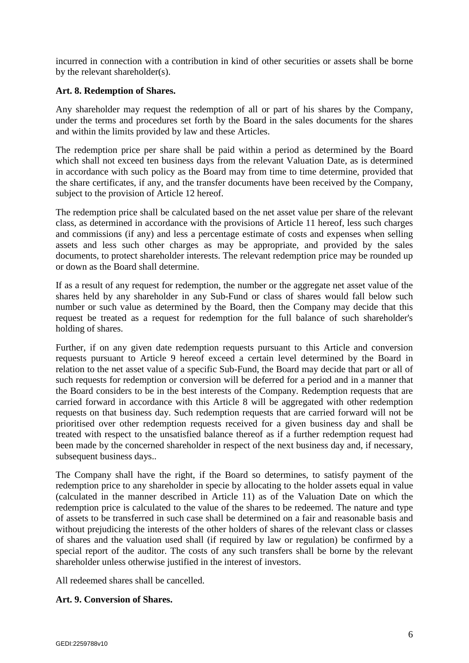incurred in connection with a contribution in kind of other securities or assets shall be borne by the relevant shareholder(s).

#### **Art. 8. Redemption of Shares.**

Any shareholder may request the redemption of all or part of his shares by the Company, under the terms and procedures set forth by the Board in the sales documents for the shares and within the limits provided by law and these Articles.

The redemption price per share shall be paid within a period as determined by the Board which shall not exceed ten business days from the relevant Valuation Date, as is determined in accordance with such policy as the Board may from time to time determine, provided that the share certificates, if any, and the transfer documents have been received by the Company, subject to the provision of Article 12 hereof.

The redemption price shall be calculated based on the net asset value per share of the relevant class, as determined in accordance with the provisions of Article 11 hereof, less such charges and commissions (if any) and less a percentage estimate of costs and expenses when selling assets and less such other charges as may be appropriate, and provided by the sales documents, to protect shareholder interests. The relevant redemption price may be rounded up or down as the Board shall determine.

If as a result of any request for redemption, the number or the aggregate net asset value of the shares held by any shareholder in any Sub-Fund or class of shares would fall below such number or such value as determined by the Board, then the Company may decide that this request be treated as a request for redemption for the full balance of such shareholder's holding of shares.

Further, if on any given date redemption requests pursuant to this Article and conversion requests pursuant to Article 9 hereof exceed a certain level determined by the Board in relation to the net asset value of a specific Sub-Fund, the Board may decide that part or all of such requests for redemption or conversion will be deferred for a period and in a manner that the Board considers to be in the best interests of the Company. Redemption requests that are carried forward in accordance with this Article 8 will be aggregated with other redemption requests on that business day. Such redemption requests that are carried forward will not be prioritised over other redemption requests received for a given business day and shall be treated with respect to the unsatisfied balance thereof as if a further redemption request had been made by the concerned shareholder in respect of the next business day and, if necessary, subsequent business days..

The Company shall have the right, if the Board so determines, to satisfy payment of the redemption price to any shareholder in specie by allocating to the holder assets equal in value (calculated in the manner described in Article 11) as of the Valuation Date on which the redemption price is calculated to the value of the shares to be redeemed. The nature and type of assets to be transferred in such case shall be determined on a fair and reasonable basis and without prejudicing the interests of the other holders of shares of the relevant class or classes of shares and the valuation used shall (if required by law or regulation) be confirmed by a special report of the auditor. The costs of any such transfers shall be borne by the relevant shareholder unless otherwise justified in the interest of investors.

All redeemed shares shall be cancelled.

# **Art. 9. Conversion of Shares.**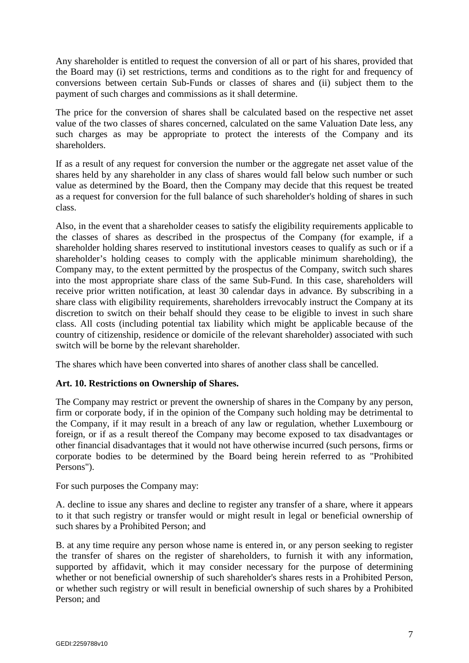Any shareholder is entitled to request the conversion of all or part of his shares, provided that the Board may (i) set restrictions, terms and conditions as to the right for and frequency of conversions between certain Sub-Funds or classes of shares and (ii) subject them to the payment of such charges and commissions as it shall determine.

The price for the conversion of shares shall be calculated based on the respective net asset value of the two classes of shares concerned, calculated on the same Valuation Date less, any such charges as may be appropriate to protect the interests of the Company and its shareholders.

If as a result of any request for conversion the number or the aggregate net asset value of the shares held by any shareholder in any class of shares would fall below such number or such value as determined by the Board, then the Company may decide that this request be treated as a request for conversion for the full balance of such shareholder's holding of shares in such class.

Also, in the event that a shareholder ceases to satisfy the eligibility requirements applicable to the classes of shares as described in the prospectus of the Company (for example, if a shareholder holding shares reserved to institutional investors ceases to qualify as such or if a shareholder's holding ceases to comply with the applicable minimum shareholding), the Company may, to the extent permitted by the prospectus of the Company, switch such shares into the most appropriate share class of the same Sub-Fund. In this case, shareholders will receive prior written notification, at least 30 calendar days in advance. By subscribing in a share class with eligibility requirements, shareholders irrevocably instruct the Company at its discretion to switch on their behalf should they cease to be eligible to invest in such share class. All costs (including potential tax liability which might be applicable because of the country of citizenship, residence or domicile of the relevant shareholder) associated with such switch will be borne by the relevant shareholder.

The shares which have been converted into shares of another class shall be cancelled.

# **Art. 10. Restrictions on Ownership of Shares.**

The Company may restrict or prevent the ownership of shares in the Company by any person, firm or corporate body, if in the opinion of the Company such holding may be detrimental to the Company, if it may result in a breach of any law or regulation, whether Luxembourg or foreign, or if as a result thereof the Company may become exposed to tax disadvantages or other financial disadvantages that it would not have otherwise incurred (such persons, firms or corporate bodies to be determined by the Board being herein referred to as "Prohibited Persons").

For such purposes the Company may:

A. decline to issue any shares and decline to register any transfer of a share, where it appears to it that such registry or transfer would or might result in legal or beneficial ownership of such shares by a Prohibited Person; and

B. at any time require any person whose name is entered in, or any person seeking to register the transfer of shares on the register of shareholders, to furnish it with any information, supported by affidavit, which it may consider necessary for the purpose of determining whether or not beneficial ownership of such shareholder's shares rests in a Prohibited Person, or whether such registry or will result in beneficial ownership of such shares by a Prohibited Person; and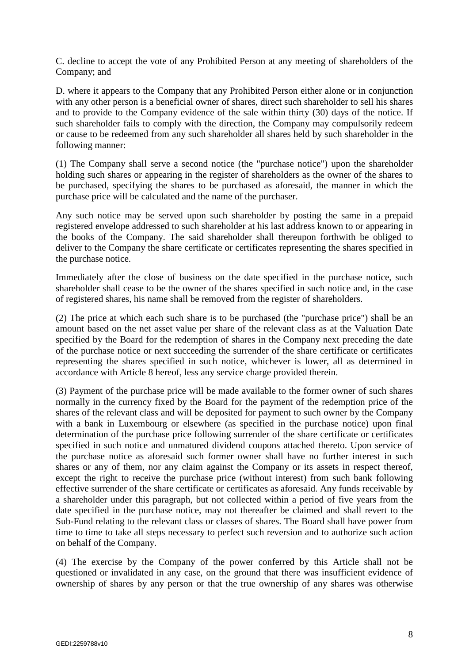C. decline to accept the vote of any Prohibited Person at any meeting of shareholders of the Company; and

D. where it appears to the Company that any Prohibited Person either alone or in conjunction with any other person is a beneficial owner of shares, direct such shareholder to sell his shares and to provide to the Company evidence of the sale within thirty (30) days of the notice. If such shareholder fails to comply with the direction, the Company may compulsorily redeem or cause to be redeemed from any such shareholder all shares held by such shareholder in the following manner:

(1) The Company shall serve a second notice (the "purchase notice") upon the shareholder holding such shares or appearing in the register of shareholders as the owner of the shares to be purchased, specifying the shares to be purchased as aforesaid, the manner in which the purchase price will be calculated and the name of the purchaser.

Any such notice may be served upon such shareholder by posting the same in a prepaid registered envelope addressed to such shareholder at his last address known to or appearing in the books of the Company. The said shareholder shall thereupon forthwith be obliged to deliver to the Company the share certificate or certificates representing the shares specified in the purchase notice.

Immediately after the close of business on the date specified in the purchase notice, such shareholder shall cease to be the owner of the shares specified in such notice and, in the case of registered shares, his name shall be removed from the register of shareholders.

(2) The price at which each such share is to be purchased (the "purchase price") shall be an amount based on the net asset value per share of the relevant class as at the Valuation Date specified by the Board for the redemption of shares in the Company next preceding the date of the purchase notice or next succeeding the surrender of the share certificate or certificates representing the shares specified in such notice, whichever is lower, all as determined in accordance with Article 8 hereof, less any service charge provided therein.

(3) Payment of the purchase price will be made available to the former owner of such shares normally in the currency fixed by the Board for the payment of the redemption price of the shares of the relevant class and will be deposited for payment to such owner by the Company with a bank in Luxembourg or elsewhere (as specified in the purchase notice) upon final determination of the purchase price following surrender of the share certificate or certificates specified in such notice and unmatured dividend coupons attached thereto. Upon service of the purchase notice as aforesaid such former owner shall have no further interest in such shares or any of them, nor any claim against the Company or its assets in respect thereof, except the right to receive the purchase price (without interest) from such bank following effective surrender of the share certificate or certificates as aforesaid. Any funds receivable by a shareholder under this paragraph, but not collected within a period of five years from the date specified in the purchase notice, may not thereafter be claimed and shall revert to the Sub-Fund relating to the relevant class or classes of shares. The Board shall have power from time to time to take all steps necessary to perfect such reversion and to authorize such action on behalf of the Company.

(4) The exercise by the Company of the power conferred by this Article shall not be questioned or invalidated in any case, on the ground that there was insufficient evidence of ownership of shares by any person or that the true ownership of any shares was otherwise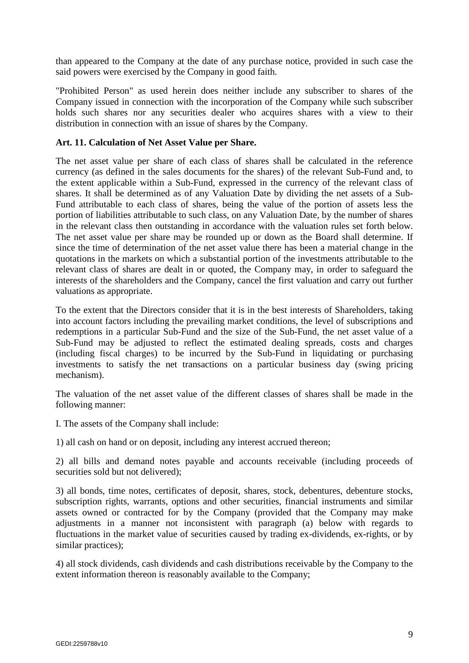than appeared to the Company at the date of any purchase notice, provided in such case the said powers were exercised by the Company in good faith.

"Prohibited Person" as used herein does neither include any subscriber to shares of the Company issued in connection with the incorporation of the Company while such subscriber holds such shares nor any securities dealer who acquires shares with a view to their distribution in connection with an issue of shares by the Company.

#### **Art. 11. Calculation of Net Asset Value per Share.**

The net asset value per share of each class of shares shall be calculated in the reference currency (as defined in the sales documents for the shares) of the relevant Sub-Fund and, to the extent applicable within a Sub-Fund, expressed in the currency of the relevant class of shares. It shall be determined as of any Valuation Date by dividing the net assets of a Sub-Fund attributable to each class of shares, being the value of the portion of assets less the portion of liabilities attributable to such class, on any Valuation Date, by the number of shares in the relevant class then outstanding in accordance with the valuation rules set forth below. The net asset value per share may be rounded up or down as the Board shall determine. If since the time of determination of the net asset value there has been a material change in the quotations in the markets on which a substantial portion of the investments attributable to the relevant class of shares are dealt in or quoted, the Company may, in order to safeguard the interests of the shareholders and the Company, cancel the first valuation and carry out further valuations as appropriate.

To the extent that the Directors consider that it is in the best interests of Shareholders, taking into account factors including the prevailing market conditions, the level of subscriptions and redemptions in a particular Sub-Fund and the size of the Sub-Fund, the net asset value of a Sub-Fund may be adjusted to reflect the estimated dealing spreads, costs and charges (including fiscal charges) to be incurred by the Sub-Fund in liquidating or purchasing investments to satisfy the net transactions on a particular business day (swing pricing mechanism).

The valuation of the net asset value of the different classes of shares shall be made in the following manner:

I. The assets of the Company shall include:

1) all cash on hand or on deposit, including any interest accrued thereon;

2) all bills and demand notes payable and accounts receivable (including proceeds of securities sold but not delivered);

3) all bonds, time notes, certificates of deposit, shares, stock, debentures, debenture stocks, subscription rights, warrants, options and other securities, financial instruments and similar assets owned or contracted for by the Company (provided that the Company may make adjustments in a manner not inconsistent with paragraph (a) below with regards to fluctuations in the market value of securities caused by trading ex-dividends, ex-rights, or by similar practices);

4) all stock dividends, cash dividends and cash distributions receivable by the Company to the extent information thereon is reasonably available to the Company;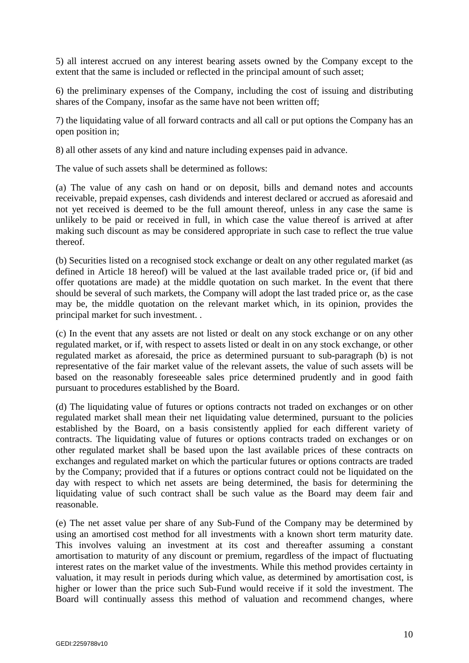5) all interest accrued on any interest bearing assets owned by the Company except to the extent that the same is included or reflected in the principal amount of such asset;

6) the preliminary expenses of the Company, including the cost of issuing and distributing shares of the Company, insofar as the same have not been written off;

7) the liquidating value of all forward contracts and all call or put options the Company has an open position in;

8) all other assets of any kind and nature including expenses paid in advance.

The value of such assets shall be determined as follows:

(a) The value of any cash on hand or on deposit, bills and demand notes and accounts receivable, prepaid expenses, cash dividends and interest declared or accrued as aforesaid and not yet received is deemed to be the full amount thereof, unless in any case the same is unlikely to be paid or received in full, in which case the value thereof is arrived at after making such discount as may be considered appropriate in such case to reflect the true value thereof.

(b) Securities listed on a recognised stock exchange or dealt on any other regulated market (as defined in Article 18 hereof) will be valued at the last available traded price or, (if bid and offer quotations are made) at the middle quotation on such market. In the event that there should be several of such markets, the Company will adopt the last traded price or, as the case may be, the middle quotation on the relevant market which, in its opinion, provides the principal market for such investment. .

(c) In the event that any assets are not listed or dealt on any stock exchange or on any other regulated market, or if, with respect to assets listed or dealt in on any stock exchange, or other regulated market as aforesaid, the price as determined pursuant to sub-paragraph (b) is not representative of the fair market value of the relevant assets, the value of such assets will be based on the reasonably foreseeable sales price determined prudently and in good faith pursuant to procedures established by the Board.

(d) The liquidating value of futures or options contracts not traded on exchanges or on other regulated market shall mean their net liquidating value determined, pursuant to the policies established by the Board, on a basis consistently applied for each different variety of contracts. The liquidating value of futures or options contracts traded on exchanges or on other regulated market shall be based upon the last available prices of these contracts on exchanges and regulated market on which the particular futures or options contracts are traded by the Company; provided that if a futures or options contract could not be liquidated on the day with respect to which net assets are being determined, the basis for determining the liquidating value of such contract shall be such value as the Board may deem fair and reasonable.

(e) The net asset value per share of any Sub-Fund of the Company may be determined by using an amortised cost method for all investments with a known short term maturity date. This involves valuing an investment at its cost and thereafter assuming a constant amortisation to maturity of any discount or premium, regardless of the impact of fluctuating interest rates on the market value of the investments. While this method provides certainty in valuation, it may result in periods during which value, as determined by amortisation cost, is higher or lower than the price such Sub-Fund would receive if it sold the investment. The Board will continually assess this method of valuation and recommend changes, where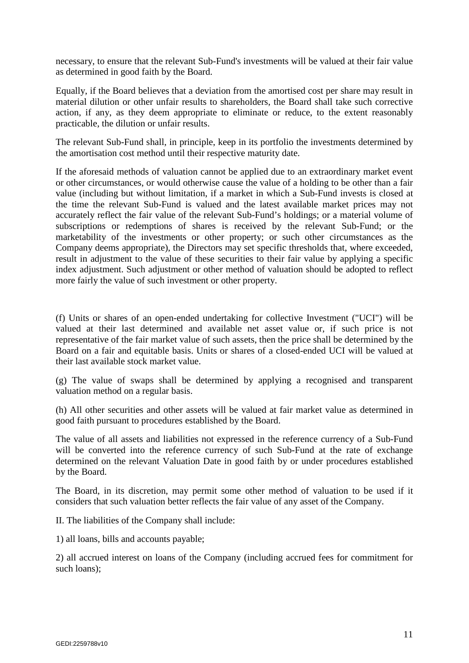necessary, to ensure that the relevant Sub-Fund's investments will be valued at their fair value as determined in good faith by the Board.

Equally, if the Board believes that a deviation from the amortised cost per share may result in material dilution or other unfair results to shareholders, the Board shall take such corrective action, if any, as they deem appropriate to eliminate or reduce, to the extent reasonably practicable, the dilution or unfair results.

The relevant Sub-Fund shall, in principle, keep in its portfolio the investments determined by the amortisation cost method until their respective maturity date.

If the aforesaid methods of valuation cannot be applied due to an extraordinary market event or other circumstances, or would otherwise cause the value of a holding to be other than a fair value (including but without limitation, if a market in which a Sub-Fund invests is closed at the time the relevant Sub-Fund is valued and the latest available market prices may not accurately reflect the fair value of the relevant Sub-Fund's holdings; or a material volume of subscriptions or redemptions of shares is received by the relevant Sub-Fund; or the marketability of the investments or other property; or such other circumstances as the Company deems appropriate), the Directors may set specific thresholds that, where exceeded, result in adjustment to the value of these securities to their fair value by applying a specific index adjustment. Such adjustment or other method of valuation should be adopted to reflect more fairly the value of such investment or other property.

(f) Units or shares of an open-ended undertaking for collective Investment ("UCI") will be valued at their last determined and available net asset value or, if such price is not representative of the fair market value of such assets, then the price shall be determined by the Board on a fair and equitable basis. Units or shares of a closed-ended UCI will be valued at their last available stock market value.

(g) The value of swaps shall be determined by applying a recognised and transparent valuation method on a regular basis.

(h) All other securities and other assets will be valued at fair market value as determined in good faith pursuant to procedures established by the Board.

The value of all assets and liabilities not expressed in the reference currency of a Sub-Fund will be converted into the reference currency of such Sub-Fund at the rate of exchange determined on the relevant Valuation Date in good faith by or under procedures established by the Board.

The Board, in its discretion, may permit some other method of valuation to be used if it considers that such valuation better reflects the fair value of any asset of the Company.

II. The liabilities of the Company shall include:

1) all loans, bills and accounts payable;

2) all accrued interest on loans of the Company (including accrued fees for commitment for such loans);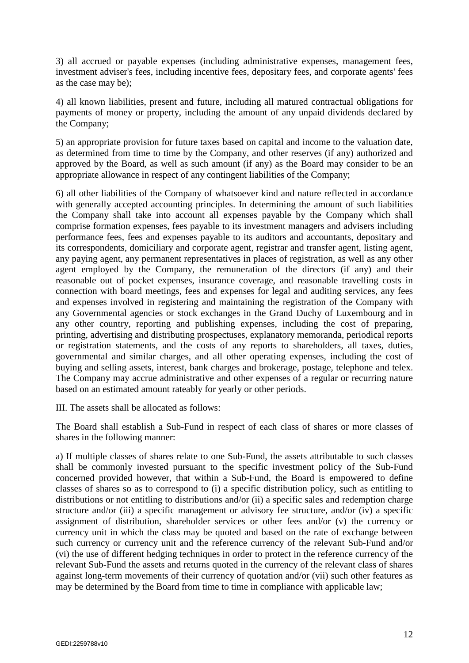3) all accrued or payable expenses (including administrative expenses, management fees, investment adviser's fees, including incentive fees, depositary fees, and corporate agents' fees as the case may be);

4) all known liabilities, present and future, including all matured contractual obligations for payments of money or property, including the amount of any unpaid dividends declared by the Company;

5) an appropriate provision for future taxes based on capital and income to the valuation date, as determined from time to time by the Company, and other reserves (if any) authorized and approved by the Board, as well as such amount (if any) as the Board may consider to be an appropriate allowance in respect of any contingent liabilities of the Company;

6) all other liabilities of the Company of whatsoever kind and nature reflected in accordance with generally accepted accounting principles. In determining the amount of such liabilities the Company shall take into account all expenses payable by the Company which shall comprise formation expenses, fees payable to its investment managers and advisers including performance fees, fees and expenses payable to its auditors and accountants, depositary and its correspondents, domiciliary and corporate agent, registrar and transfer agent, listing agent, any paying agent, any permanent representatives in places of registration, as well as any other agent employed by the Company, the remuneration of the directors (if any) and their reasonable out of pocket expenses, insurance coverage, and reasonable travelling costs in connection with board meetings, fees and expenses for legal and auditing services, any fees and expenses involved in registering and maintaining the registration of the Company with any Governmental agencies or stock exchanges in the Grand Duchy of Luxembourg and in any other country, reporting and publishing expenses, including the cost of preparing, printing, advertising and distributing prospectuses, explanatory memoranda, periodical reports or registration statements, and the costs of any reports to shareholders, all taxes, duties, governmental and similar charges, and all other operating expenses, including the cost of buying and selling assets, interest, bank charges and brokerage, postage, telephone and telex. The Company may accrue administrative and other expenses of a regular or recurring nature based on an estimated amount rateably for yearly or other periods.

III. The assets shall be allocated as follows:

The Board shall establish a Sub-Fund in respect of each class of shares or more classes of shares in the following manner:

a) If multiple classes of shares relate to one Sub-Fund, the assets attributable to such classes shall be commonly invested pursuant to the specific investment policy of the Sub-Fund concerned provided however, that within a Sub-Fund, the Board is empowered to define classes of shares so as to correspond to (i) a specific distribution policy, such as entitling to distributions or not entitling to distributions and/or (ii) a specific sales and redemption charge structure and/or (iii) a specific management or advisory fee structure, and/or (iv) a specific assignment of distribution, shareholder services or other fees and/or (v) the currency or currency unit in which the class may be quoted and based on the rate of exchange between such currency or currency unit and the reference currency of the relevant Sub-Fund and/or (vi) the use of different hedging techniques in order to protect in the reference currency of the relevant Sub-Fund the assets and returns quoted in the currency of the relevant class of shares against long-term movements of their currency of quotation and/or (vii) such other features as may be determined by the Board from time to time in compliance with applicable law;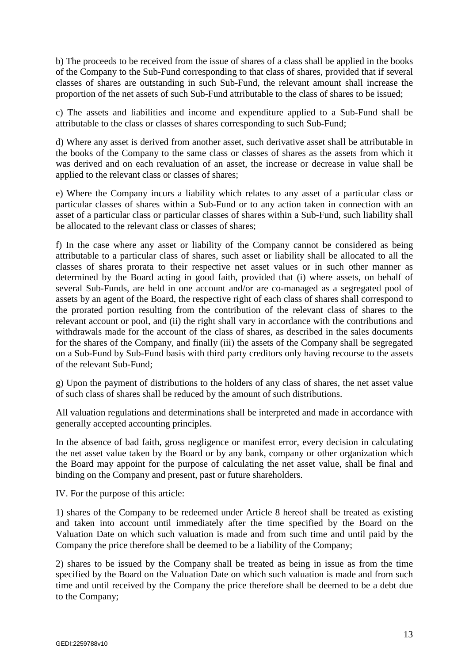b) The proceeds to be received from the issue of shares of a class shall be applied in the books of the Company to the Sub-Fund corresponding to that class of shares, provided that if several classes of shares are outstanding in such Sub-Fund, the relevant amount shall increase the proportion of the net assets of such Sub-Fund attributable to the class of shares to be issued;

c) The assets and liabilities and income and expenditure applied to a Sub-Fund shall be attributable to the class or classes of shares corresponding to such Sub-Fund;

d) Where any asset is derived from another asset, such derivative asset shall be attributable in the books of the Company to the same class or classes of shares as the assets from which it was derived and on each revaluation of an asset, the increase or decrease in value shall be applied to the relevant class or classes of shares;

e) Where the Company incurs a liability which relates to any asset of a particular class or particular classes of shares within a Sub-Fund or to any action taken in connection with an asset of a particular class or particular classes of shares within a Sub-Fund, such liability shall be allocated to the relevant class or classes of shares;

f) In the case where any asset or liability of the Company cannot be considered as being attributable to a particular class of shares, such asset or liability shall be allocated to all the classes of shares prorata to their respective net asset values or in such other manner as determined by the Board acting in good faith, provided that (i) where assets, on behalf of several Sub-Funds, are held in one account and/or are co-managed as a segregated pool of assets by an agent of the Board, the respective right of each class of shares shall correspond to the prorated portion resulting from the contribution of the relevant class of shares to the relevant account or pool, and (ii) the right shall vary in accordance with the contributions and withdrawals made for the account of the class of shares, as described in the sales documents for the shares of the Company, and finally (iii) the assets of the Company shall be segregated on a Sub-Fund by Sub-Fund basis with third party creditors only having recourse to the assets of the relevant Sub-Fund;

g) Upon the payment of distributions to the holders of any class of shares, the net asset value of such class of shares shall be reduced by the amount of such distributions.

All valuation regulations and determinations shall be interpreted and made in accordance with generally accepted accounting principles.

In the absence of bad faith, gross negligence or manifest error, every decision in calculating the net asset value taken by the Board or by any bank, company or other organization which the Board may appoint for the purpose of calculating the net asset value, shall be final and binding on the Company and present, past or future shareholders.

IV. For the purpose of this article:

1) shares of the Company to be redeemed under Article 8 hereof shall be treated as existing and taken into account until immediately after the time specified by the Board on the Valuation Date on which such valuation is made and from such time and until paid by the Company the price therefore shall be deemed to be a liability of the Company;

2) shares to be issued by the Company shall be treated as being in issue as from the time specified by the Board on the Valuation Date on which such valuation is made and from such time and until received by the Company the price therefore shall be deemed to be a debt due to the Company;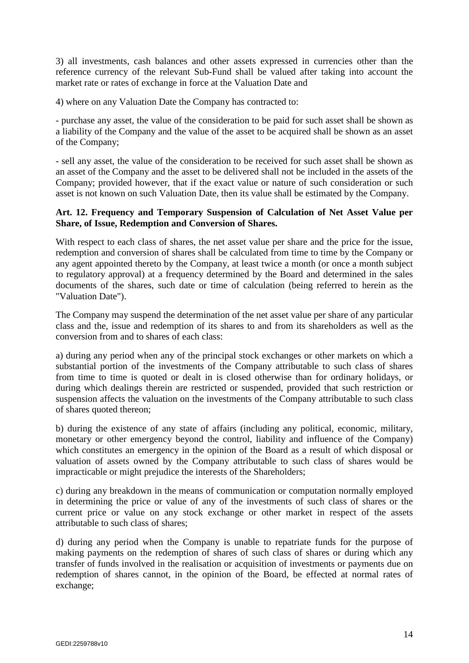3) all investments, cash balances and other assets expressed in currencies other than the reference currency of the relevant Sub-Fund shall be valued after taking into account the market rate or rates of exchange in force at the Valuation Date and

4) where on any Valuation Date the Company has contracted to:

- purchase any asset, the value of the consideration to be paid for such asset shall be shown as a liability of the Company and the value of the asset to be acquired shall be shown as an asset of the Company;

- sell any asset, the value of the consideration to be received for such asset shall be shown as an asset of the Company and the asset to be delivered shall not be included in the assets of the Company; provided however, that if the exact value or nature of such consideration or such asset is not known on such Valuation Date, then its value shall be estimated by the Company.

### **Art. 12. Frequency and Temporary Suspension of Calculation of Net Asset Value per Share, of Issue, Redemption and Conversion of Shares.**

With respect to each class of shares, the net asset value per share and the price for the issue, redemption and conversion of shares shall be calculated from time to time by the Company or any agent appointed thereto by the Company, at least twice a month (or once a month subject to regulatory approval) at a frequency determined by the Board and determined in the sales documents of the shares, such date or time of calculation (being referred to herein as the "Valuation Date").

The Company may suspend the determination of the net asset value per share of any particular class and the, issue and redemption of its shares to and from its shareholders as well as the conversion from and to shares of each class:

a) during any period when any of the principal stock exchanges or other markets on which a substantial portion of the investments of the Company attributable to such class of shares from time to time is quoted or dealt in is closed otherwise than for ordinary holidays, or during which dealings therein are restricted or suspended, provided that such restriction or suspension affects the valuation on the investments of the Company attributable to such class of shares quoted thereon;

b) during the existence of any state of affairs (including any political, economic, military, monetary or other emergency beyond the control, liability and influence of the Company) which constitutes an emergency in the opinion of the Board as a result of which disposal or valuation of assets owned by the Company attributable to such class of shares would be impracticable or might prejudice the interests of the Shareholders;

c) during any breakdown in the means of communication or computation normally employed in determining the price or value of any of the investments of such class of shares or the current price or value on any stock exchange or other market in respect of the assets attributable to such class of shares;

d) during any period when the Company is unable to repatriate funds for the purpose of making payments on the redemption of shares of such class of shares or during which any transfer of funds involved in the realisation or acquisition of investments or payments due on redemption of shares cannot, in the opinion of the Board, be effected at normal rates of exchange;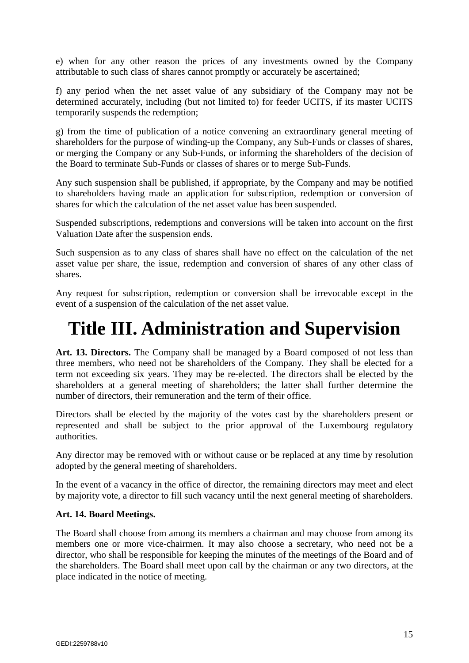e) when for any other reason the prices of any investments owned by the Company attributable to such class of shares cannot promptly or accurately be ascertained;

f) any period when the net asset value of any subsidiary of the Company may not be determined accurately, including (but not limited to) for feeder UCITS, if its master UCITS temporarily suspends the redemption;

g) from the time of publication of a notice convening an extraordinary general meeting of shareholders for the purpose of winding-up the Company, any Sub-Funds or classes of shares, or merging the Company or any Sub-Funds, or informing the shareholders of the decision of the Board to terminate Sub-Funds or classes of shares or to merge Sub-Funds.

Any such suspension shall be published, if appropriate, by the Company and may be notified to shareholders having made an application for subscription, redemption or conversion of shares for which the calculation of the net asset value has been suspended.

Suspended subscriptions, redemptions and conversions will be taken into account on the first Valuation Date after the suspension ends.

Such suspension as to any class of shares shall have no effect on the calculation of the net asset value per share, the issue, redemption and conversion of shares of any other class of shares.

Any request for subscription, redemption or conversion shall be irrevocable except in the event of a suspension of the calculation of the net asset value.

# **Title III. Administration and Supervision**

**Art. 13. Directors.** The Company shall be managed by a Board composed of not less than three members, who need not be shareholders of the Company. They shall be elected for a term not exceeding six years. They may be re-elected. The directors shall be elected by the shareholders at a general meeting of shareholders; the latter shall further determine the number of directors, their remuneration and the term of their office.

Directors shall be elected by the majority of the votes cast by the shareholders present or represented and shall be subject to the prior approval of the Luxembourg regulatory authorities.

Any director may be removed with or without cause or be replaced at any time by resolution adopted by the general meeting of shareholders.

In the event of a vacancy in the office of director, the remaining directors may meet and elect by majority vote, a director to fill such vacancy until the next general meeting of shareholders.

# **Art. 14. Board Meetings.**

The Board shall choose from among its members a chairman and may choose from among its members one or more vice-chairmen. It may also choose a secretary, who need not be a director, who shall be responsible for keeping the minutes of the meetings of the Board and of the shareholders. The Board shall meet upon call by the chairman or any two directors, at the place indicated in the notice of meeting.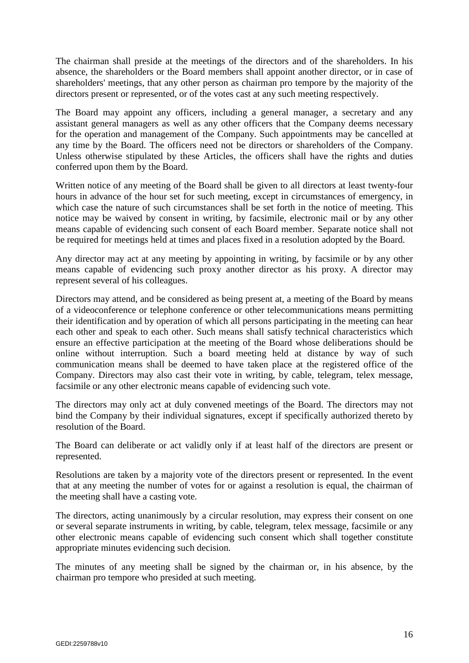The chairman shall preside at the meetings of the directors and of the shareholders. In his absence, the shareholders or the Board members shall appoint another director, or in case of shareholders' meetings, that any other person as chairman pro tempore by the majority of the directors present or represented, or of the votes cast at any such meeting respectively.

The Board may appoint any officers, including a general manager, a secretary and any assistant general managers as well as any other officers that the Company deems necessary for the operation and management of the Company. Such appointments may be cancelled at any time by the Board. The officers need not be directors or shareholders of the Company. Unless otherwise stipulated by these Articles, the officers shall have the rights and duties conferred upon them by the Board.

Written notice of any meeting of the Board shall be given to all directors at least twenty-four hours in advance of the hour set for such meeting, except in circumstances of emergency, in which case the nature of such circumstances shall be set forth in the notice of meeting. This notice may be waived by consent in writing, by facsimile, electronic mail or by any other means capable of evidencing such consent of each Board member. Separate notice shall not be required for meetings held at times and places fixed in a resolution adopted by the Board.

Any director may act at any meeting by appointing in writing, by facsimile or by any other means capable of evidencing such proxy another director as his proxy. A director may represent several of his colleagues.

Directors may attend, and be considered as being present at, a meeting of the Board by means of a videoconference or telephone conference or other telecommunications means permitting their identification and by operation of which all persons participating in the meeting can hear each other and speak to each other. Such means shall satisfy technical characteristics which ensure an effective participation at the meeting of the Board whose deliberations should be online without interruption. Such a board meeting held at distance by way of such communication means shall be deemed to have taken place at the registered office of the Company. Directors may also cast their vote in writing, by cable, telegram, telex message, facsimile or any other electronic means capable of evidencing such vote.

The directors may only act at duly convened meetings of the Board. The directors may not bind the Company by their individual signatures, except if specifically authorized thereto by resolution of the Board.

The Board can deliberate or act validly only if at least half of the directors are present or represented.

Resolutions are taken by a majority vote of the directors present or represented. In the event that at any meeting the number of votes for or against a resolution is equal, the chairman of the meeting shall have a casting vote.

The directors, acting unanimously by a circular resolution, may express their consent on one or several separate instruments in writing, by cable, telegram, telex message, facsimile or any other electronic means capable of evidencing such consent which shall together constitute appropriate minutes evidencing such decision.

The minutes of any meeting shall be signed by the chairman or, in his absence, by the chairman pro tempore who presided at such meeting.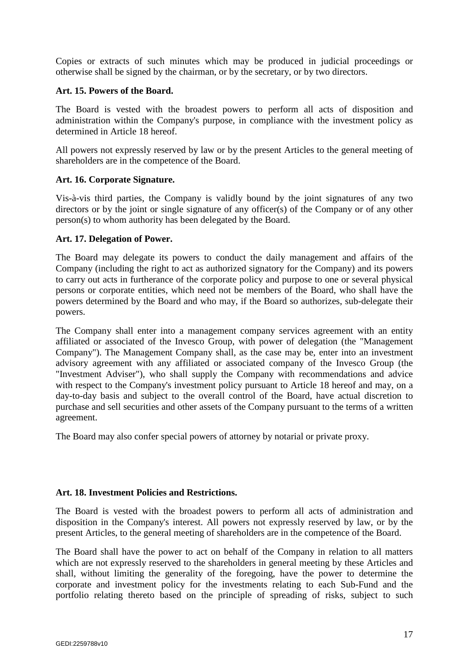Copies or extracts of such minutes which may be produced in judicial proceedings or otherwise shall be signed by the chairman, or by the secretary, or by two directors.

#### **Art. 15. Powers of the Board.**

The Board is vested with the broadest powers to perform all acts of disposition and administration within the Company's purpose, in compliance with the investment policy as determined in Article 18 hereof.

All powers not expressly reserved by law or by the present Articles to the general meeting of shareholders are in the competence of the Board.

#### **Art. 16. Corporate Signature.**

Vis-à-vis third parties, the Company is validly bound by the joint signatures of any two directors or by the joint or single signature of any officer(s) of the Company or of any other person(s) to whom authority has been delegated by the Board.

#### **Art. 17. Delegation of Power.**

The Board may delegate its powers to conduct the daily management and affairs of the Company (including the right to act as authorized signatory for the Company) and its powers to carry out acts in furtherance of the corporate policy and purpose to one or several physical persons or corporate entities, which need not be members of the Board, who shall have the powers determined by the Board and who may, if the Board so authorizes, sub-delegate their powers.

The Company shall enter into a management company services agreement with an entity affiliated or associated of the Invesco Group, with power of delegation (the "Management Company"). The Management Company shall, as the case may be, enter into an investment advisory agreement with any affiliated or associated company of the Invesco Group (the "Investment Adviser"), who shall supply the Company with recommendations and advice with respect to the Company's investment policy pursuant to Article 18 hereof and may, on a day-to-day basis and subject to the overall control of the Board, have actual discretion to purchase and sell securities and other assets of the Company pursuant to the terms of a written agreement.

The Board may also confer special powers of attorney by notarial or private proxy.

#### **Art. 18. Investment Policies and Restrictions.**

The Board is vested with the broadest powers to perform all acts of administration and disposition in the Company's interest. All powers not expressly reserved by law, or by the present Articles, to the general meeting of shareholders are in the competence of the Board.

The Board shall have the power to act on behalf of the Company in relation to all matters which are not expressly reserved to the shareholders in general meeting by these Articles and shall, without limiting the generality of the foregoing, have the power to determine the corporate and investment policy for the investments relating to each Sub-Fund and the portfolio relating thereto based on the principle of spreading of risks, subject to such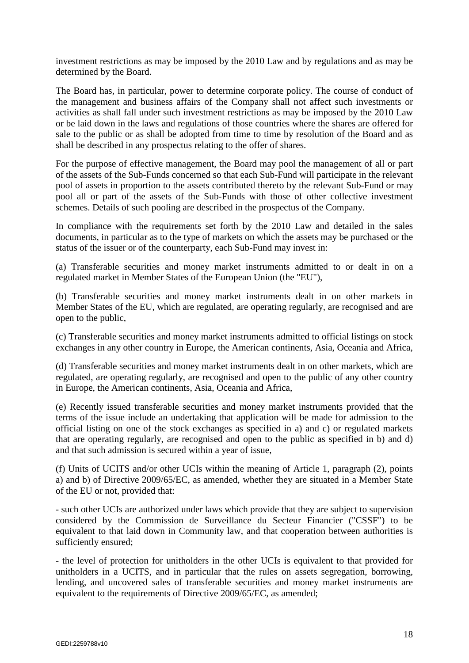investment restrictions as may be imposed by the 2010 Law and by regulations and as may be determined by the Board.

The Board has, in particular, power to determine corporate policy. The course of conduct of the management and business affairs of the Company shall not affect such investments or activities as shall fall under such investment restrictions as may be imposed by the 2010 Law or be laid down in the laws and regulations of those countries where the shares are offered for sale to the public or as shall be adopted from time to time by resolution of the Board and as shall be described in any prospectus relating to the offer of shares.

For the purpose of effective management, the Board may pool the management of all or part of the assets of the Sub-Funds concerned so that each Sub-Fund will participate in the relevant pool of assets in proportion to the assets contributed thereto by the relevant Sub-Fund or may pool all or part of the assets of the Sub-Funds with those of other collective investment schemes. Details of such pooling are described in the prospectus of the Company.

In compliance with the requirements set forth by the 2010 Law and detailed in the sales documents, in particular as to the type of markets on which the assets may be purchased or the status of the issuer or of the counterparty, each Sub-Fund may invest in:

(a) Transferable securities and money market instruments admitted to or dealt in on a regulated market in Member States of the European Union (the "EU"),

(b) Transferable securities and money market instruments dealt in on other markets in Member States of the EU, which are regulated, are operating regularly, are recognised and are open to the public,

(c) Transferable securities and money market instruments admitted to official listings on stock exchanges in any other country in Europe, the American continents, Asia, Oceania and Africa,

(d) Transferable securities and money market instruments dealt in on other markets, which are regulated, are operating regularly, are recognised and open to the public of any other country in Europe, the American continents, Asia, Oceania and Africa,

(e) Recently issued transferable securities and money market instruments provided that the terms of the issue include an undertaking that application will be made for admission to the official listing on one of the stock exchanges as specified in a) and c) or regulated markets that are operating regularly, are recognised and open to the public as specified in b) and d) and that such admission is secured within a year of issue,

(f) Units of UCITS and/or other UCIs within the meaning of Article 1, paragraph (2), points a) and b) of Directive 2009/65/EC, as amended, whether they are situated in a Member State of the EU or not, provided that:

- such other UCIs are authorized under laws which provide that they are subject to supervision considered by the Commission de Surveillance du Secteur Financier ("CSSF") to be equivalent to that laid down in Community law, and that cooperation between authorities is sufficiently ensured;

- the level of protection for unitholders in the other UCIs is equivalent to that provided for unitholders in a UCITS, and in particular that the rules on assets segregation, borrowing, lending, and uncovered sales of transferable securities and money market instruments are equivalent to the requirements of Directive 2009/65/EC, as amended;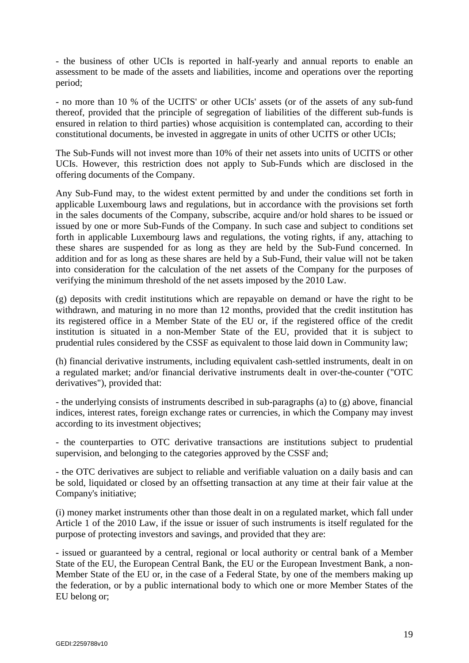- the business of other UCIs is reported in half-yearly and annual reports to enable an assessment to be made of the assets and liabilities, income and operations over the reporting period;

- no more than 10 % of the UCITS' or other UCIs' assets (or of the assets of any sub-fund thereof, provided that the principle of segregation of liabilities of the different sub-funds is ensured in relation to third parties) whose acquisition is contemplated can, according to their constitutional documents, be invested in aggregate in units of other UCITS or other UCIs;

The Sub-Funds will not invest more than 10% of their net assets into units of UCITS or other UCIs. However, this restriction does not apply to Sub-Funds which are disclosed in the offering documents of the Company.

Any Sub-Fund may, to the widest extent permitted by and under the conditions set forth in applicable Luxembourg laws and regulations, but in accordance with the provisions set forth in the sales documents of the Company, subscribe, acquire and/or hold shares to be issued or issued by one or more Sub-Funds of the Company. In such case and subject to conditions set forth in applicable Luxembourg laws and regulations, the voting rights, if any, attaching to these shares are suspended for as long as they are held by the Sub-Fund concerned. In addition and for as long as these shares are held by a Sub-Fund, their value will not be taken into consideration for the calculation of the net assets of the Company for the purposes of verifying the minimum threshold of the net assets imposed by the 2010 Law.

(g) deposits with credit institutions which are repayable on demand or have the right to be withdrawn, and maturing in no more than 12 months, provided that the credit institution has its registered office in a Member State of the EU or, if the registered office of the credit institution is situated in a non-Member State of the EU, provided that it is subject to prudential rules considered by the CSSF as equivalent to those laid down in Community law;

(h) financial derivative instruments, including equivalent cash-settled instruments, dealt in on a regulated market; and/or financial derivative instruments dealt in over-the-counter ("OTC derivatives"), provided that:

- the underlying consists of instruments described in sub-paragraphs (a) to (g) above, financial indices, interest rates, foreign exchange rates or currencies, in which the Company may invest according to its investment objectives;

- the counterparties to OTC derivative transactions are institutions subject to prudential supervision, and belonging to the categories approved by the CSSF and;

- the OTC derivatives are subject to reliable and verifiable valuation on a daily basis and can be sold, liquidated or closed by an offsetting transaction at any time at their fair value at the Company's initiative;

(i) money market instruments other than those dealt in on a regulated market, which fall under Article 1 of the 2010 Law, if the issue or issuer of such instruments is itself regulated for the purpose of protecting investors and savings, and provided that they are:

- issued or guaranteed by a central, regional or local authority or central bank of a Member State of the EU, the European Central Bank, the EU or the European Investment Bank, a non-Member State of the EU or, in the case of a Federal State, by one of the members making up the federation, or by a public international body to which one or more Member States of the EU belong or;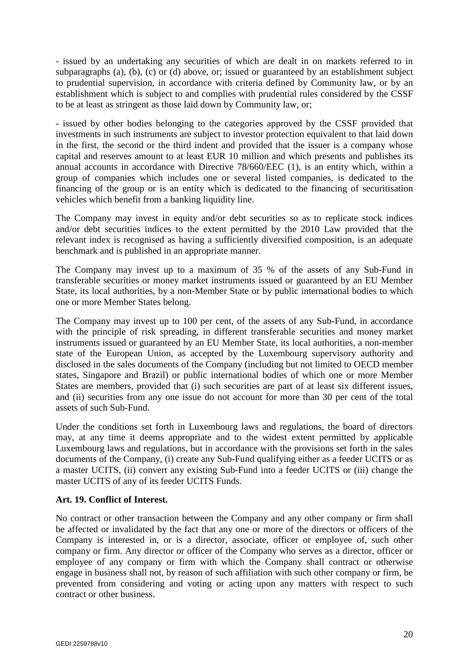- issued by an undertaking any securities of which are dealt in on markets referred to in subparagraphs (a), (b), (c) or (d) above, or; issued or guaranteed by an establishment subject to prudential supervision, in accordance with criteria defined by Community law, or by an establishment which is subject to and complies with prudential rules considered by the CSSF to be at least as stringent as those laid down by Community law, or;

- issued by other bodies belonging to the categories approved by the CSSF provided that investments in such instruments are subject to investor protection equivalent to that laid down in the first, the second or the third indent and provided that the issuer is a company whose capital and reserves amount to at least EUR 10 million and which presents and publishes its annual accounts in accordance with Directive 78/660/EEC (1), is an entity which, within a group of companies which includes one or several listed companies, is dedicated to the financing of the group or is an entity which is dedicated to the financing of securitisation vehicles which benefit from a banking liquidity line.

The Company may invest in equity and/or debt securities so as to replicate stock indices and/or debt securities indices to the extent permitted by the 2010 Law provided that the relevant index is recognised as having a sufficiently diversified composition, is an adequate benchmark and is published in an appropriate manner.

The Company may invest up to a maximum of 35 % of the assets of any Sub-Fund in transferable securities or money market instruments issued or guaranteed by an EU Member State, its local authorities, by a non-Member State or by public international bodies to which one or more Member States belong.

The Company may invest up to 100 per cent, of the assets of any Sub-Fund, in accordance with the principle of risk spreading, in different transferable securities and money market instruments issued or guaranteed by an EU Member State, its local authorities, a non-member state of the European Union, as accepted by the Luxembourg supervisory authority and disclosed in the sales documents of the Company (including but not limited to OECD member states, Singapore and Brazil) or public international bodies of which one or more Member States are members, provided that (i) such securities are part of at least six different issues, and (ii) securities from any one issue do not account for more than 30 per cent of the total assets of such Sub-Fund.

Under the conditions set forth in Luxembourg laws and regulations, the board of directors may, at any time it deems appropriate and to the widest extent permitted by applicable Luxembourg laws and regulations, but in accordance with the provisions set forth in the sales documents of the Company, (i) create any Sub-Fund qualifying either as a feeder UCITS or as a master UCITS, (ii) convert any existing Sub-Fund into a feeder UCITS or (iii) change the master UCITS of any of its feeder UCITS Funds.

# **Art. 19. Conflict of Interest.**

No contract or other transaction between the Company and any other company or firm shall be affected or invalidated by the fact that any one or more of the directors or officers of the Company is interested in, or is a director, associate, officer or employee of, such other company or firm. Any director or officer of the Company who serves as a director, officer or employee of any company or firm with which the Company shall contract or otherwise engage in business shall not, by reason of such affiliation with such other company or firm, be prevented from considering and voting or acting upon any matters with respect to such contract or other business.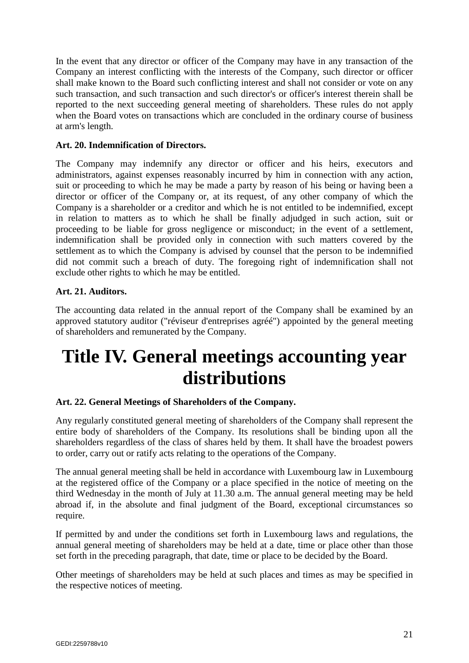In the event that any director or officer of the Company may have in any transaction of the Company an interest conflicting with the interests of the Company, such director or officer shall make known to the Board such conflicting interest and shall not consider or vote on any such transaction, and such transaction and such director's or officer's interest therein shall be reported to the next succeeding general meeting of shareholders. These rules do not apply when the Board votes on transactions which are concluded in the ordinary course of business at arm's length.

# **Art. 20. Indemnification of Directors.**

The Company may indemnify any director or officer and his heirs, executors and administrators, against expenses reasonably incurred by him in connection with any action, suit or proceeding to which he may be made a party by reason of his being or having been a director or officer of the Company or, at its request, of any other company of which the Company is a shareholder or a creditor and which he is not entitled to be indemnified, except in relation to matters as to which he shall be finally adjudged in such action, suit or proceeding to be liable for gross negligence or misconduct; in the event of a settlement, indemnification shall be provided only in connection with such matters covered by the settlement as to which the Company is advised by counsel that the person to be indemnified did not commit such a breach of duty. The foregoing right of indemnification shall not exclude other rights to which he may be entitled.

# **Art. 21. Auditors.**

The accounting data related in the annual report of the Company shall be examined by an approved statutory auditor ("réviseur d'entreprises agréé") appointed by the general meeting of shareholders and remunerated by the Company.

# **Title IV. General meetings accounting year distributions**

# **Art. 22. General Meetings of Shareholders of the Company.**

Any regularly constituted general meeting of shareholders of the Company shall represent the entire body of shareholders of the Company. Its resolutions shall be binding upon all the shareholders regardless of the class of shares held by them. It shall have the broadest powers to order, carry out or ratify acts relating to the operations of the Company.

The annual general meeting shall be held in accordance with Luxembourg law in Luxembourg at the registered office of the Company or a place specified in the notice of meeting on the third Wednesday in the month of July at 11.30 a.m. The annual general meeting may be held abroad if, in the absolute and final judgment of the Board, exceptional circumstances so require.

If permitted by and under the conditions set forth in Luxembourg laws and regulations, the annual general meeting of shareholders may be held at a date, time or place other than those set forth in the preceding paragraph, that date, time or place to be decided by the Board.

Other meetings of shareholders may be held at such places and times as may be specified in the respective notices of meeting.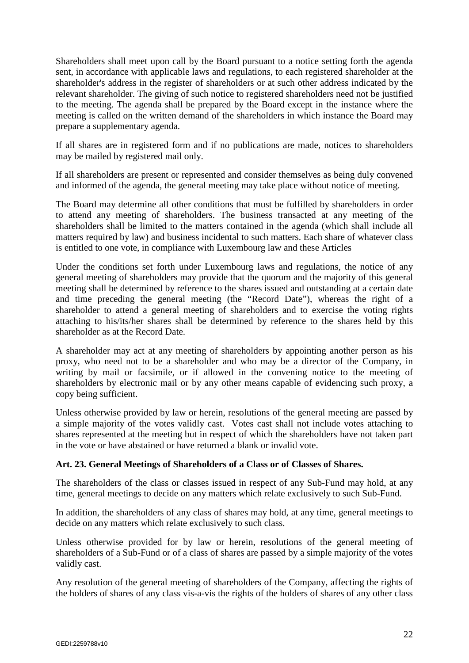Shareholders shall meet upon call by the Board pursuant to a notice setting forth the agenda sent, in accordance with applicable laws and regulations, to each registered shareholder at the shareholder's address in the register of shareholders or at such other address indicated by the relevant shareholder. The giving of such notice to registered shareholders need not be justified to the meeting. The agenda shall be prepared by the Board except in the instance where the meeting is called on the written demand of the shareholders in which instance the Board may prepare a supplementary agenda.

If all shares are in registered form and if no publications are made, notices to shareholders may be mailed by registered mail only.

If all shareholders are present or represented and consider themselves as being duly convened and informed of the agenda, the general meeting may take place without notice of meeting.

The Board may determine all other conditions that must be fulfilled by shareholders in order to attend any meeting of shareholders. The business transacted at any meeting of the shareholders shall be limited to the matters contained in the agenda (which shall include all matters required by law) and business incidental to such matters. Each share of whatever class is entitled to one vote, in compliance with Luxembourg law and these Articles

Under the conditions set forth under Luxembourg laws and regulations, the notice of any general meeting of shareholders may provide that the quorum and the majority of this general meeting shall be determined by reference to the shares issued and outstanding at a certain date and time preceding the general meeting (the "Record Date"), whereas the right of a shareholder to attend a general meeting of shareholders and to exercise the voting rights attaching to his/its/her shares shall be determined by reference to the shares held by this shareholder as at the Record Date.

A shareholder may act at any meeting of shareholders by appointing another person as his proxy, who need not to be a shareholder and who may be a director of the Company, in writing by mail or facsimile, or if allowed in the convening notice to the meeting of shareholders by electronic mail or by any other means capable of evidencing such proxy, a copy being sufficient.

Unless otherwise provided by law or herein, resolutions of the general meeting are passed by a simple majority of the votes validly cast. Votes cast shall not include votes attaching to shares represented at the meeting but in respect of which the shareholders have not taken part in the vote or have abstained or have returned a blank or invalid vote.

# **Art. 23. General Meetings of Shareholders of a Class or of Classes of Shares.**

The shareholders of the class or classes issued in respect of any Sub-Fund may hold, at any time, general meetings to decide on any matters which relate exclusively to such Sub-Fund.

In addition, the shareholders of any class of shares may hold, at any time, general meetings to decide on any matters which relate exclusively to such class.

Unless otherwise provided for by law or herein, resolutions of the general meeting of shareholders of a Sub-Fund or of a class of shares are passed by a simple majority of the votes validly cast.

Any resolution of the general meeting of shareholders of the Company, affecting the rights of the holders of shares of any class vis-a-vis the rights of the holders of shares of any other class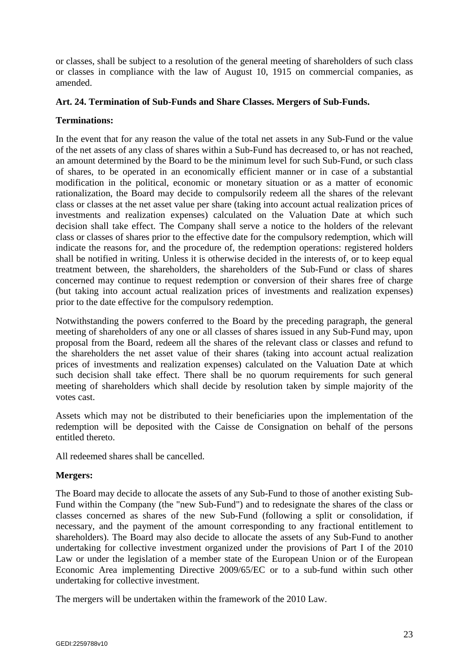or classes, shall be subject to a resolution of the general meeting of shareholders of such class or classes in compliance with the law of August 10, 1915 on commercial companies, as amended.

### **Art. 24. Termination of Sub-Funds and Share Classes. Mergers of Sub-Funds.**

### **Terminations:**

In the event that for any reason the value of the total net assets in any Sub-Fund or the value of the net assets of any class of shares within a Sub-Fund has decreased to, or has not reached, an amount determined by the Board to be the minimum level for such Sub-Fund, or such class of shares, to be operated in an economically efficient manner or in case of a substantial modification in the political, economic or monetary situation or as a matter of economic rationalization, the Board may decide to compulsorily redeem all the shares of the relevant class or classes at the net asset value per share (taking into account actual realization prices of investments and realization expenses) calculated on the Valuation Date at which such decision shall take effect. The Company shall serve a notice to the holders of the relevant class or classes of shares prior to the effective date for the compulsory redemption, which will indicate the reasons for, and the procedure of, the redemption operations: registered holders shall be notified in writing. Unless it is otherwise decided in the interests of, or to keep equal treatment between, the shareholders, the shareholders of the Sub-Fund or class of shares concerned may continue to request redemption or conversion of their shares free of charge (but taking into account actual realization prices of investments and realization expenses) prior to the date effective for the compulsory redemption.

Notwithstanding the powers conferred to the Board by the preceding paragraph, the general meeting of shareholders of any one or all classes of shares issued in any Sub-Fund may, upon proposal from the Board, redeem all the shares of the relevant class or classes and refund to the shareholders the net asset value of their shares (taking into account actual realization prices of investments and realization expenses) calculated on the Valuation Date at which such decision shall take effect. There shall be no quorum requirements for such general meeting of shareholders which shall decide by resolution taken by simple majority of the votes cast.

Assets which may not be distributed to their beneficiaries upon the implementation of the redemption will be deposited with the Caisse de Consignation on behalf of the persons entitled thereto.

All redeemed shares shall be cancelled.

# **Mergers:**

The Board may decide to allocate the assets of any Sub-Fund to those of another existing Sub-Fund within the Company (the "new Sub-Fund") and to redesignate the shares of the class or classes concerned as shares of the new Sub-Fund (following a split or consolidation, if necessary, and the payment of the amount corresponding to any fractional entitlement to shareholders). The Board may also decide to allocate the assets of any Sub-Fund to another undertaking for collective investment organized under the provisions of Part I of the 2010 Law or under the legislation of a member state of the European Union or of the European Economic Area implementing Directive 2009/65/EC or to a sub-fund within such other undertaking for collective investment.

The mergers will be undertaken within the framework of the 2010 Law.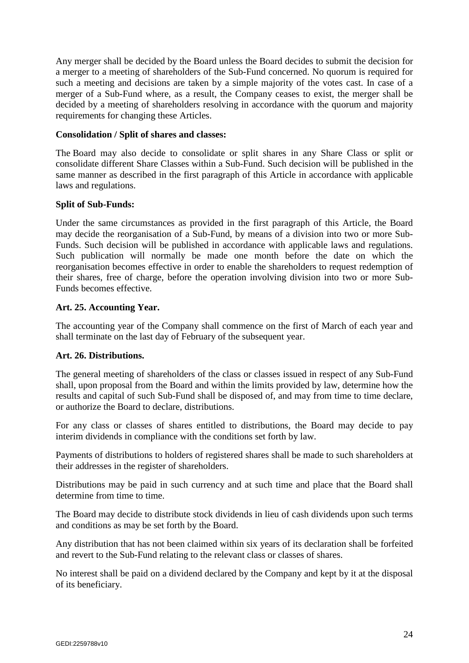Any merger shall be decided by the Board unless the Board decides to submit the decision for a merger to a meeting of shareholders of the Sub-Fund concerned. No quorum is required for such a meeting and decisions are taken by a simple majority of the votes cast. In case of a merger of a Sub-Fund where, as a result, the Company ceases to exist, the merger shall be decided by a meeting of shareholders resolving in accordance with the quorum and majority requirements for changing these Articles.

#### **Consolidation / Split of shares and classes:**

The Board may also decide to consolidate or split shares in any Share Class or split or consolidate different Share Classes within a Sub-Fund. Such decision will be published in the same manner as described in the first paragraph of this Article in accordance with applicable laws and regulations.

# **Split of Sub-Funds:**

Under the same circumstances as provided in the first paragraph of this Article, the Board may decide the reorganisation of a Sub-Fund, by means of a division into two or more Sub-Funds. Such decision will be published in accordance with applicable laws and regulations. Such publication will normally be made one month before the date on which the reorganisation becomes effective in order to enable the shareholders to request redemption of their shares, free of charge, before the operation involving division into two or more Sub-Funds becomes effective.

# **Art. 25. Accounting Year.**

The accounting year of the Company shall commence on the first of March of each year and shall terminate on the last day of February of the subsequent year.

# **Art. 26. Distributions.**

The general meeting of shareholders of the class or classes issued in respect of any Sub-Fund shall, upon proposal from the Board and within the limits provided by law, determine how the results and capital of such Sub-Fund shall be disposed of, and may from time to time declare, or authorize the Board to declare, distributions.

For any class or classes of shares entitled to distributions, the Board may decide to pay interim dividends in compliance with the conditions set forth by law.

Payments of distributions to holders of registered shares shall be made to such shareholders at their addresses in the register of shareholders.

Distributions may be paid in such currency and at such time and place that the Board shall determine from time to time.

The Board may decide to distribute stock dividends in lieu of cash dividends upon such terms and conditions as may be set forth by the Board.

Any distribution that has not been claimed within six years of its declaration shall be forfeited and revert to the Sub-Fund relating to the relevant class or classes of shares.

No interest shall be paid on a dividend declared by the Company and kept by it at the disposal of its beneficiary.